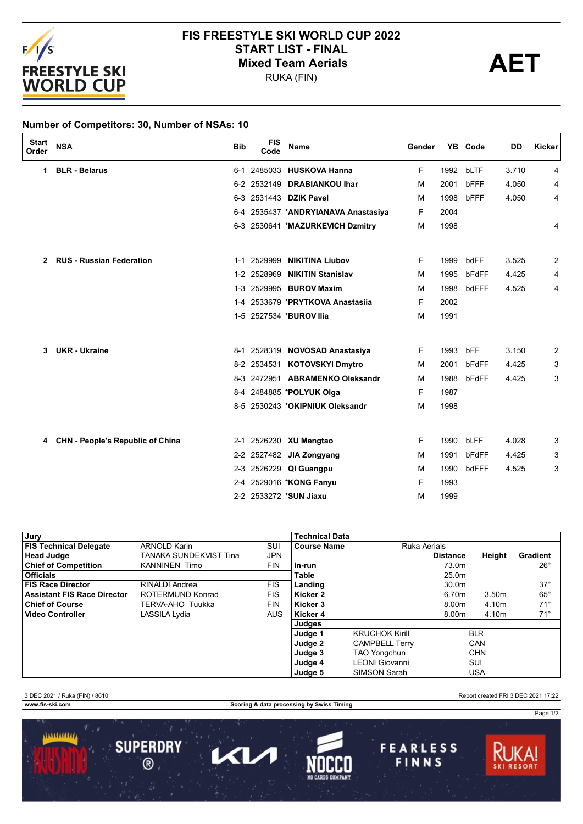

## **FIS FREESTYLE SKI WORLD CUP 2022** START LIST - FINAL<br>
Mixed Team Aerials<br>
PUKA (FIN)

RUKA (FIN)

## **Number of Competitors: 30, Number of NSAs: 10**

| <b>Start</b><br>Order | <b>NSA</b>                              | <b>Bib</b> | <b>FIS</b><br>Code | <b>Name</b>                         | Gender |      | YB Code | <b>DD</b> | Kicker |
|-----------------------|-----------------------------------------|------------|--------------------|-------------------------------------|--------|------|---------|-----------|--------|
| 1                     | <b>BLR - Belarus</b>                    |            | 6-1 2485033        | <b>HUSKOVA Hanna</b>                | F      | 1992 | bLTF    | 3.710     | 4      |
|                       |                                         |            | 6-2 2532149        | <b>DRABIANKOU Ihar</b>              | м      | 2001 | bFFF    | 4.050     | 4      |
|                       |                                         |            |                    | 6-3 2531443 DZIK Pavel              | М      | 1998 | bFFF    | 4.050     | 4      |
|                       |                                         |            |                    | 6-4 2535437 *ANDRYIANAVA Anastasiya | F      | 2004 |         |           |        |
|                       |                                         |            |                    | 6-3 2530641 *MAZURKEVICH Dzmitry    | м      | 1998 |         |           | 4      |
| 2                     | <b>RUS - Russian Federation</b>         |            | 1-1 2529999        | <b>NIKITINA Liubov</b>              | F      | 1999 | bdFF    | 3.525     | 2      |
|                       |                                         | $1 - 2$    | 2528969            | <b>NIKITIN Stanislav</b>            | м      | 1995 | bFdFF   | 4.425     | 4      |
|                       |                                         |            |                    | 1-3 2529995 <b>BUROV Maxim</b>      | м      | 1998 | bdFFF   | 4.525     | 4      |
|                       |                                         | $1 - 4$    |                    | 2533679 *PRYTKOVA Anastasija        | F      | 2002 |         |           |        |
|                       |                                         |            |                    | 1-5 2527534 *BUROV Ilia             | м      | 1991 |         |           |        |
| 3                     | <b>UKR</b> - Ukraine                    |            |                    | 8-1 2528319 NOVOSAD Anastasiya      | F      | 1993 | bFF     | 3.150     | 2      |
|                       |                                         |            |                    | 8-2 2534531 KOTOVSKYI Dmytro        | м      | 2001 | bFdFF   | 4.425     | 3      |
|                       |                                         |            |                    | 8-3 2472951 ABRAMENKO Oleksandr     | м      | 1988 | bFdFF   | 4.425     | 3      |
|                       |                                         |            |                    | 8-4 2484885 *POLYUK Olga            | F.     | 1987 |         |           |        |
|                       |                                         |            |                    | 8-5 2530243 *OKIPNIUK Oleksandr     | М      | 1998 |         |           |        |
| 4                     | <b>CHN - People's Republic of China</b> |            |                    | 2-1 2526230 XU Mengtao              | F.     | 1990 | bLFF    | 4.028     | 3      |
|                       |                                         |            |                    | 2-2 2527482 JIA Zongyang            | М      | 1991 | bFdFF   | 4.425     | 3      |
|                       |                                         |            |                    | 2-3 2526229 QI Guangpu              | м      | 1990 | bdFFF   | 4.525     | 3      |
|                       |                                         | 2-4        |                    | 2529016 *KONG Fanyu                 | F      | 1993 |         |           |        |
|                       |                                         |            |                    | 2-2 2533272 *SUN Jiaxu              | M      | 1999 |         |           |        |

| Jury                               |                        |            | <b>Technical Data</b> |                       |                 |            |                 |
|------------------------------------|------------------------|------------|-----------------------|-----------------------|-----------------|------------|-----------------|
| <b>FIS Technical Delegate</b>      | <b>ARNOLD Karin</b>    | SUI        | <b>Course Name</b>    | Ruka Aerials          |                 |            |                 |
| <b>Head Judge</b>                  | TANAKA SUNDEKVIST Tina | <b>JPN</b> |                       |                       | <b>Distance</b> | Height     | <b>Gradient</b> |
| <b>Chief of Competition</b>        | <b>KANNINEN Timo</b>   | <b>FIN</b> | In-run                |                       | 73.0m           |            | $26^{\circ}$    |
| Officials                          |                        |            | Table                 |                       | 25.0m           |            |                 |
| <b>FIS Race Director</b>           | RINALDI Andrea         | <b>FIS</b> | Landing               |                       | 30.0m           |            | $37^\circ$      |
| <b>Assistant FIS Race Director</b> | ROTERMUND Konrad       | <b>FIS</b> | Kicker 2              |                       | 6.70m           | 3.50m      | $65^{\circ}$    |
| <b>Chief of Course</b>             | TERVA-AHO Tuukka       | <b>FIN</b> | Kicker 3              |                       | 8.00m           | 4.10m      | $71^\circ$      |
| ∣ Video Controller                 | LASSILA Lydia          | <b>AUS</b> | Kicker 4              |                       | 8.00m           | 4.10m      | $71^\circ$      |
|                                    |                        |            | Judges                |                       |                 |            |                 |
|                                    |                        |            | Judge 1               | <b>KRUCHOK Kirill</b> |                 | <b>BLR</b> |                 |
|                                    |                        |            | Judge 2               | <b>CAMPBELL Terry</b> |                 | CAN        |                 |
|                                    |                        |            | Judge 3               | <b>TAO Yongchun</b>   |                 | <b>CHN</b> |                 |
|                                    |                        |            | Judge 4               | <b>LEONI</b> Giovanni |                 | SUI        |                 |
|                                    |                        |            | Judge 5               | SIMSON Sarah          |                 | <b>USA</b> |                 |

3 DEC 2021 / Ruka (FIN) / 8610 Report created FRI 3 DEC 2021 17:22